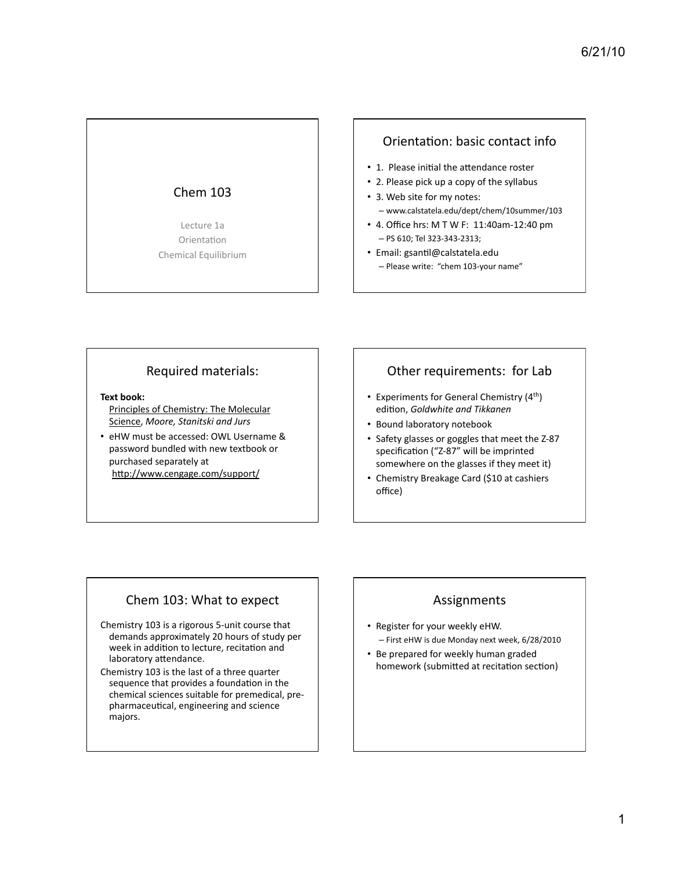## Chem  $103$

Lecture 1a Orientation Chemical Equilibrium

### Orientation: basic contact info

- 1. Please initial the attendance roster
- 2. Please pick up a copy of the syllabus
- 3. Web site for my notes: – www.calstatela.edu/dept/chem/10summer/103%
- $\cdot$  4. Office hrs: M T W F: 11:40am-12:40 pm  $-$  PS 610; Tel 323-343-2313;
- Email: gsantil@calstatela.edu - Please write: "chem 103-your name"

### Required materials:

**Text book:** 

- Principles of Chemistry: The Molecular Science, Moore, Stanitski and Jurs
- eHW must be accessed: OWL Username & password bundled with new textbook or purchased separately at http://www.cengage.com/support/

# Other requirements: for Lab

- Experiments for General Chemistry  $(4<sup>th</sup>)$ edition, Goldwhite and Tikkanen
- Bound laboratory notebook
- Safety glasses or goggles that meet the Z-87 specification ("Z-87" will be imprinted somewhere on the glasses if they meet it)
- Chemistry Breakage Card (\$10 at cashiers office)

## Chem 103: What to expect

Chemistry 103 is a rigorous 5-unit course that demands approximately 20 hours of study per week in addition to lecture, recitation and laboratory attendance.

Chemistry 103 is the last of a three quarter sequence that provides a foundation in the chemical sciences suitable for premedical, prepharmaceutical, engineering and science majors.

## Assignments%

- Register for your weekly eHW. – First eHW is due Monday next week, 6/28/2010
- Be prepared for weekly human graded homework (submitted at recitation section)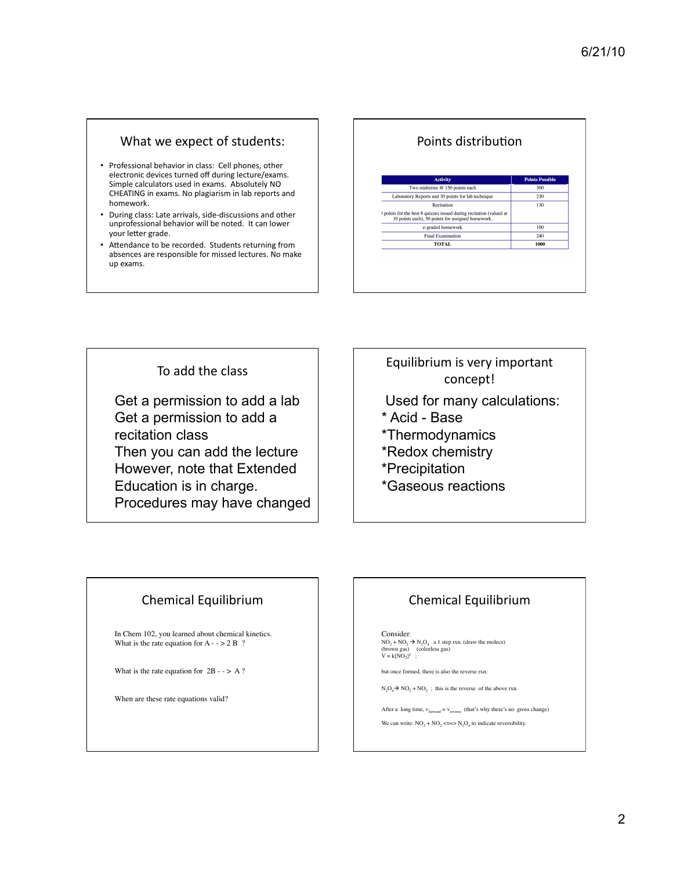### What we expect of students:

- Professional behavior in class: Cell phones, other electronic devices turned off during lecture/exams. Simple calculators used in exams. Absolutely NO CHEATING in exams. No plagiarism in lab reports and homework.
- During class: Late arrivals, side-discussions and other unprofessional behavior will be noted. It can lower your letter grade.
- Attendance to be recorded. Students returning from absences are responsible for missed lectures. No make up exams.

### Points distribution

| <b>Activity</b>                                                                                                          | <b>Points Possible</b> |
|--------------------------------------------------------------------------------------------------------------------------|------------------------|
| Two midterms @ 150 points each                                                                                           | 300                    |
| Laboratory Reports and 30 points for lab technique                                                                       | 230                    |
| Recitation                                                                                                               | 130                    |
| ) points for the best 8 quizzes issued during recitation (valued at<br>10 points each), 50 points for assigned homework, |                        |
| e-graded homework                                                                                                        | 100                    |
| <b>Final Examination</b>                                                                                                 | 240                    |
| <b>TOTAL</b>                                                                                                             | 1000                   |

To add the class

Get a permission to add a lab Get a permission to add a recitation class Then you can add the lecture However, note that Extended Education is in charge. Procedures may have changed

# Equilibrium is very important concept!

- Used for many calculations:
- \* Acid Base
- \*Thermodynamics
- \*Redox chemistry
- \*Precipitation
- \*Gaseous reactions

## Chemical Equilibrium

In Chem 102, you learned about chemical kinetics. What is the rate equation for  $A - 2B$ ?

What is the rate equation for  $2B - > A$ ?

When are these rate equations valid?

# Chemical Equilibrium

Consider:<br>NO<sub>2</sub> + NO<sub>2</sub> → N<sub>2</sub>O<sub>4</sub> a 1 step rxn. (draw the molecs)<br>(brown gas) (colorless gas)<br>V = k[NO<sub>2</sub>]<sup>2</sup> ;

but once formed, there is also the reverse rxn:

 $N_2O_4 \rightarrow NO_2 + NO_2$ ; this is the reverse of the above rxn.

After a long time,  $v_{forward} = v_{reverse}$  (that's why there's no gross change) We can write:  $NO<sub>2</sub> + NO<sub>2</sub> \leq N<sub>2</sub>O<sub>4</sub>$  to indicate reversibility.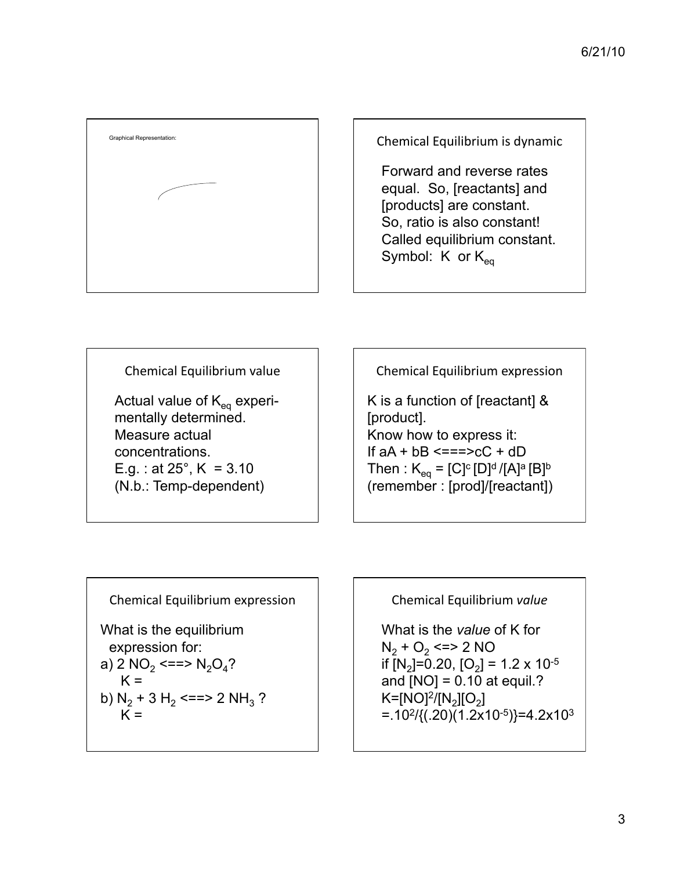

Forward and reverse rates equal. So, [reactants] and [products] are constant. So, ratio is also constant! Called equilibrium constant. Symbol:  $K$  or  $K_{eq}$ 

Chemical Equilibrium value

Actual value of  $K_{eq}$  experimentally determined. Measure actual concentrations. E.g. : at  $25^{\circ}$ , K = 3.10 (N.b.: Temp-dependent)

Chemical Equilibrium expression

K is a function of [reactant] & [product]. Know how to express it: If  $aA + bB \leq x = x + cC + dD$ Then :  $K_{eq} = [C]^{c} [D]^{d} / [A]^{a} [B]^{b}$ (remember : [prod]/[reactant])

Chemical Equilibrium expression What is the equilibrium expression for: a) 2  $NO_2 \leq = > N_2O_4$ ?  $K =$ b)  $N_2$  + 3 H<sub>2</sub> <==> 2 NH<sub>3</sub> ?  $K =$ 

Chemical%Equilibrium%*value*

What is the *value* of K for  $N_2$  + O<sub>2</sub> <=> 2 NO if  $[N_2]=0.20$ ,  $[O_2]=1.2 \times 10^{-5}$ and  $[NO] = 0.10$  at equil.?  $K=[NO]^2/[N_2][O_2]$  $=$ .10<sup>2</sup>/{(.20)(1.2x10<sup>-5</sup>)}=4.2x10<sup>3</sup>